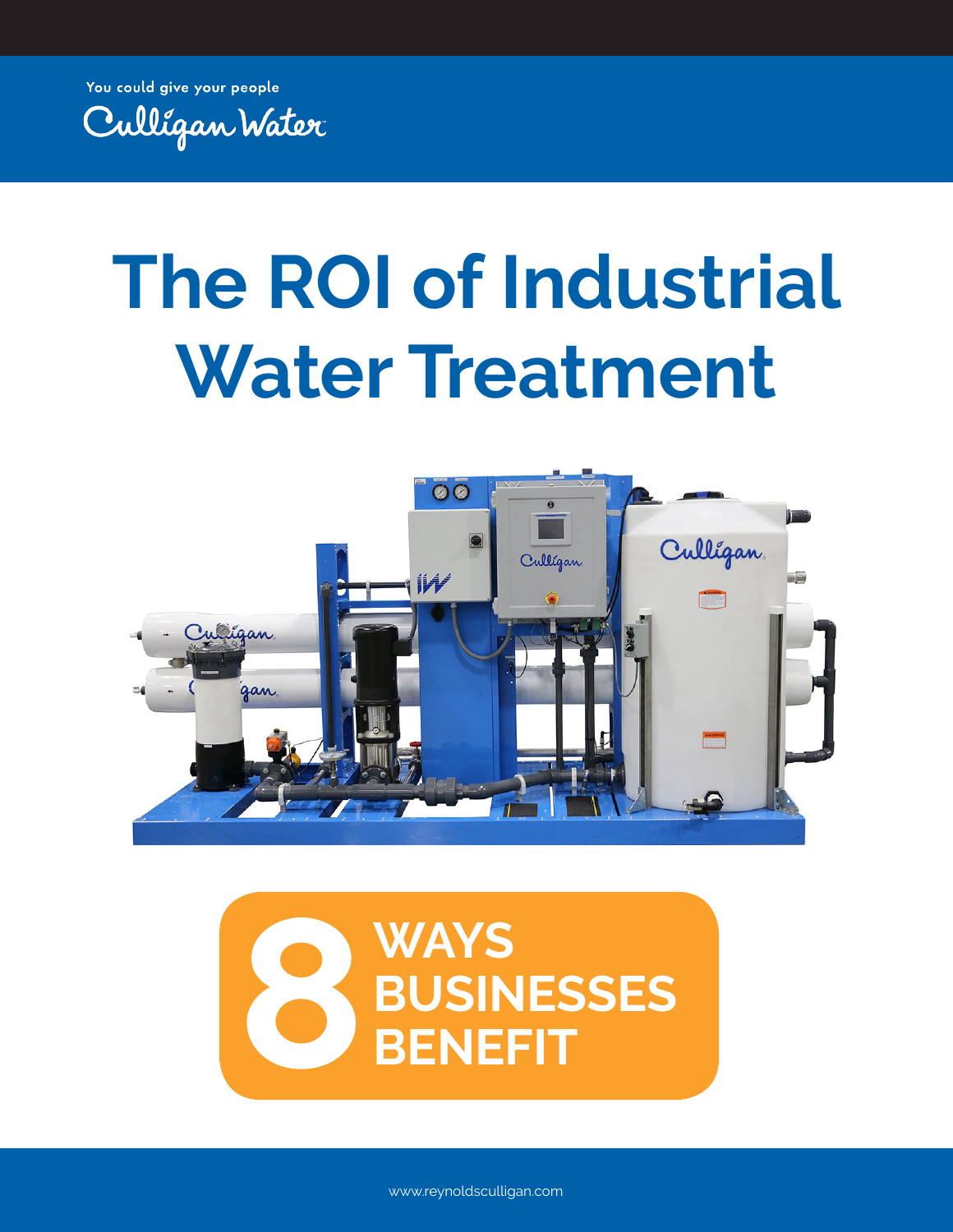You could give your people



# **The ROI of Industrial Water Treatment**





www.reynoldsculligan.com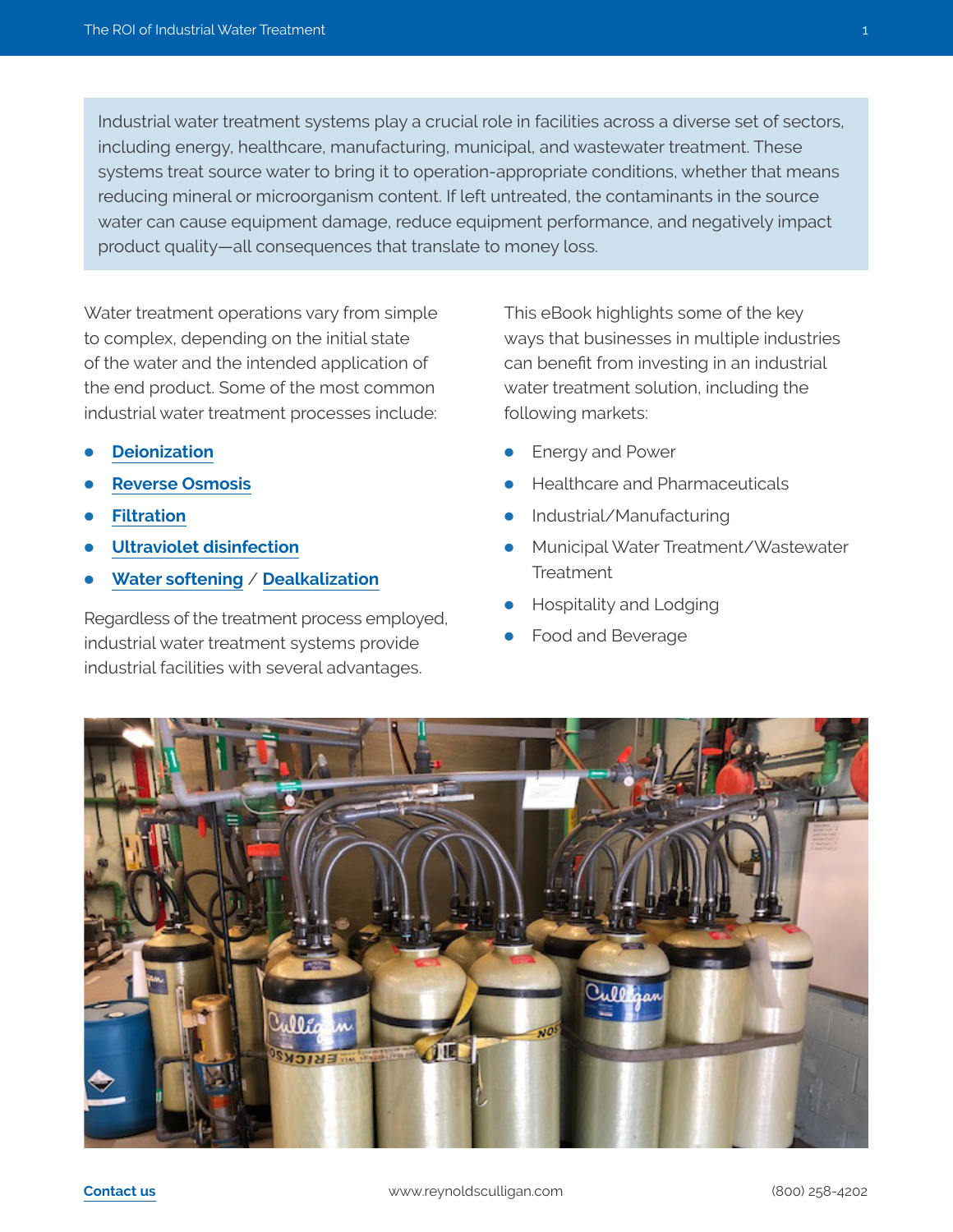Industrial water treatment systems play a crucial role in facilities across a diverse set of sectors, including energy, healthcare, manufacturing, municipal, and wastewater treatment. These systems treat source water to bring it to operation-appropriate conditions, whether that means reducing mineral or microorganism content. If left untreated, the contaminants in the source water can cause equipment damage, reduce equipment performance, and negatively impact product quality—all consequences that translate to money loss.

Water treatment operations vary from simple to complex, depending on the initial state of the water and the intended application of the end product. Some of the most common industrial water treatment processes include:

- **[Deionization](https://www.reynoldsculligan.com/industrial-deionized-water-treatment/)**
- **[Reverse Osmosis](https://www.reynoldsculligan.com/commercial-industrial-reverse-osmosis-systems/)**
- **[Filtration](https://www.reynoldsculligan.com/culligan-commercial-industrial-filtration-systems/)**
- **[Ultraviolet disinfection](https://www.reynoldsculligan.com/culligan-commercial-industrial-ultraviolet-water-treatment/)**
- **[Water softening](https://www.reynoldsculligan.com/commercial-and-industrial-water-softening/)** / **[Dealkalization](https://www.reynoldsculligan.com/culligan-commercial-industrial-de-alkalization/)**

Regardless of the treatment process employed, industrial water treatment systems provide industrial facilities with several advantages.

This eBook highlights some of the key ways that businesses in multiple industries can benefit from investing in an industrial water treatment solution, including the following markets:

- Energy and Power
- Healthcare and Pharmaceuticals
- Industrial/Manufacturing
- Municipal Water Treatment/Wastewater **Treatment**
- Hospitality and Lodging
- Food and Beverage

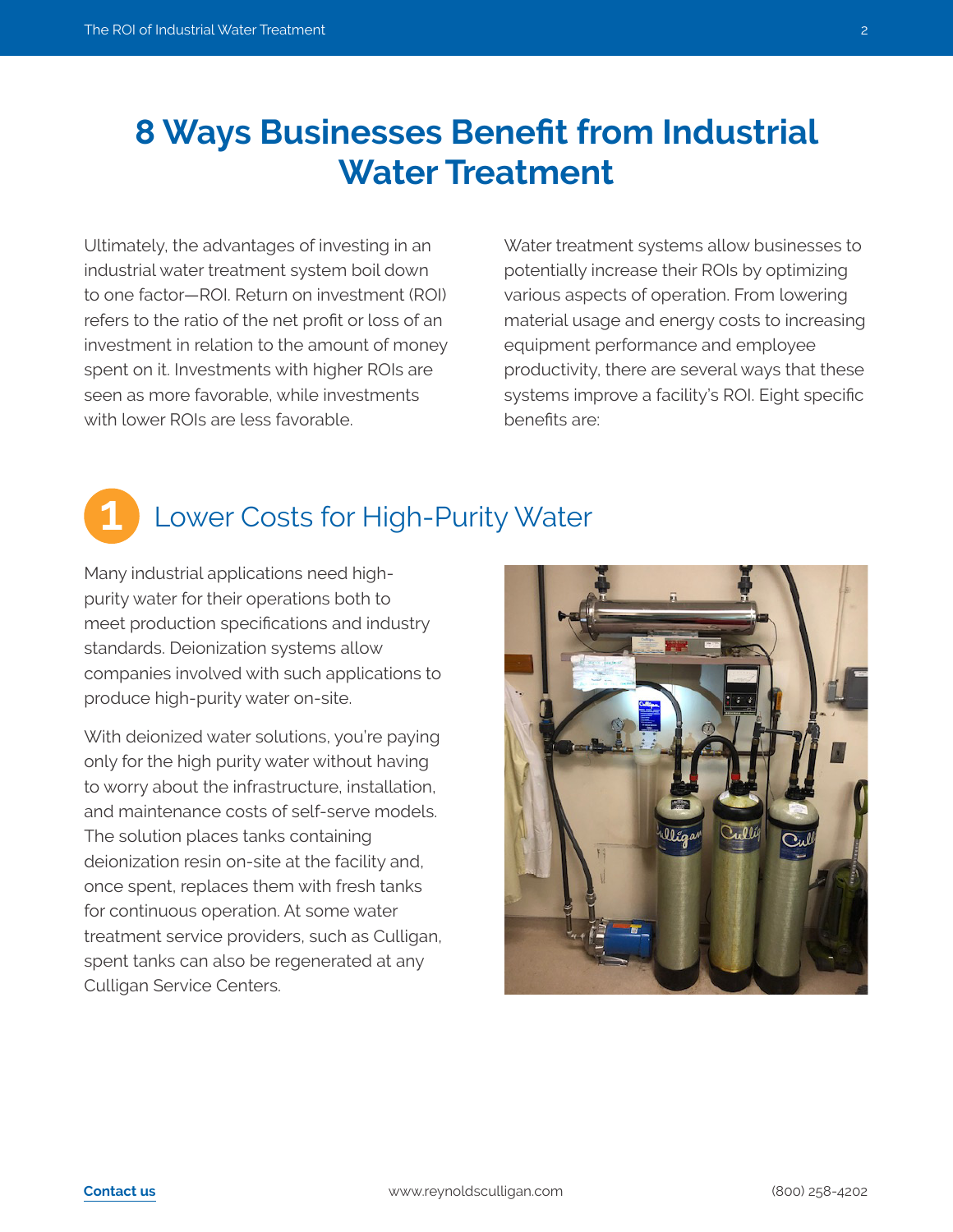## **8 Ways Businesses Benefit from Industrial Water Treatment**

Ultimately, the advantages of investing in an industrial water treatment system boil down to one factor—ROI. Return on investment (ROI) refers to the ratio of the net profit or loss of an investment in relation to the amount of money spent on it. Investments with higher ROIs are seen as more favorable, while investments with lower ROIs are less favorable.

Water treatment systems allow businesses to potentially increase their ROIs by optimizing various aspects of operation. From lowering material usage and energy costs to increasing equipment performance and employee productivity, there are several ways that these systems improve a facility's ROI. Eight specific benefits are:

## Lower Costs for High-Purity Water

Many industrial applications need highpurity water for their operations both to meet production specifications and industry standards. Deionization systems allow companies involved with such applications to produce high-purity water on-site.

With deionized water solutions, you're paying only for the high purity water without having to worry about the infrastructure, installation, and maintenance costs of self-serve models. The solution places tanks containing deionization resin on-site at the facility and, once spent, replaces them with fresh tanks for continuous operation. At some water treatment service providers, such as Culligan, spent tanks can also be regenerated at any Culligan Service Centers.



**1**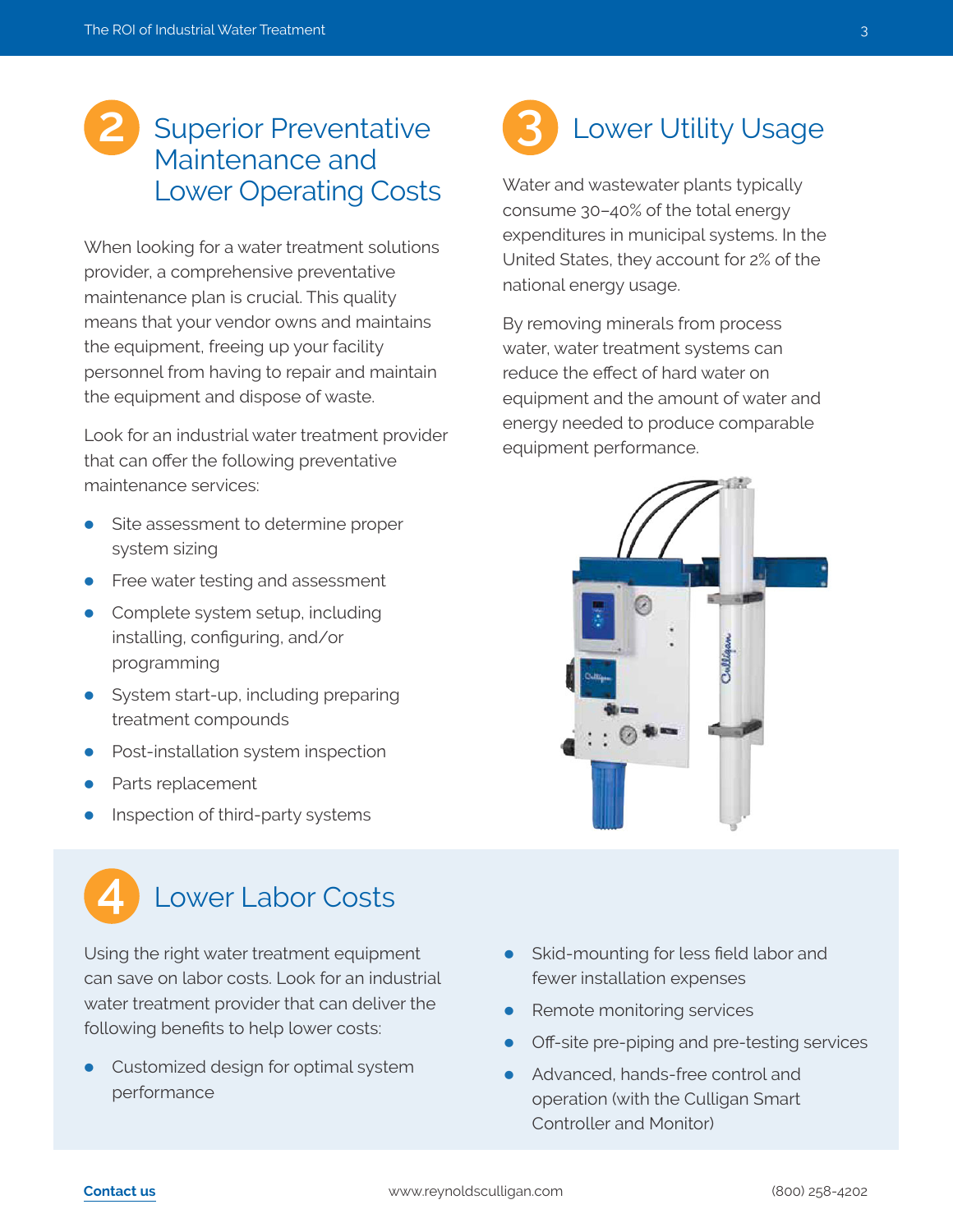# Maintenance and Lower Operating Costs

When looking for a water treatment solutions provider, a comprehensive preventative maintenance plan is crucial. This quality means that your vendor owns and maintains the equipment, freeing up your facility personnel from having to repair and maintain the equipment and dispose of waste.

Look for an industrial water treatment provider that can offer the following preventative maintenance services:

- Site assessment to determine proper system sizing
- Free water testing and assessment
- Complete system setup, including installing, configuring, and/or programming
- System start-up, including preparing treatment compounds
- Post-installation system inspection
- Parts replacement
- Inspection of third-party systems

## Lower Labor Costs

Using the right water treatment equipment can save on labor costs. Look for an industrial water treatment provider that can deliver the following benefits to help lower costs:

• Customized design for optimal system performance

## 2 Superior Preventative **3** Lower Utility Usage **3**

Water and wastewater plants typically consume 30–40% of the total energy expenditures in municipal systems. In the United States, they account for 2% of the national energy usage.

By removing minerals from process water, water treatment systems can reduce the effect of hard water on equipment and the amount of water and energy needed to produce comparable equipment performance.



- Skid-mounting for less field labor and fewer installation expenses
- Remote monitoring services
- Off-site pre-piping and pre-testing services
- Advanced, hands-free control and operation (with the Culligan Smart Controller and Monitor)

**4**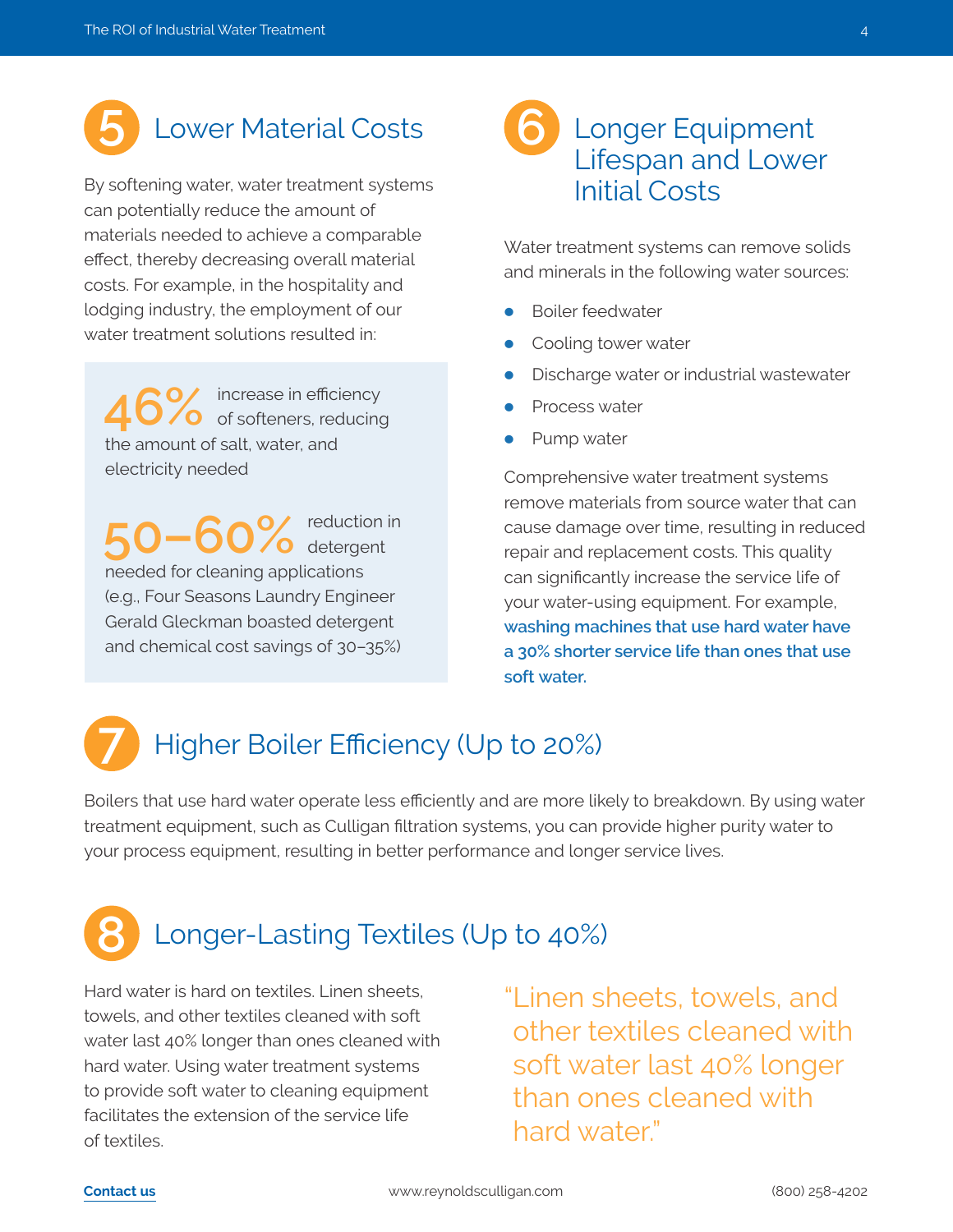

By softening water, water treatment systems can potentially reduce the amount of materials needed to achieve a comparable effect, thereby decreasing overall material costs. For example, in the hospitality and lodging industry, the employment of our water treatment solutions resulted in:

46% increase in efficiency<br>of softeners, reducing the amount of salt, water, and electricity needed

**50–60%** reduction in detergent needed for cleaning applications (e.g., Four Seasons Laundry Engineer Gerald Gleckman boasted detergent and chemical cost savings of 30–35%)

## Lifespan and Lower Initial Costs **6**

Water treatment systems can remove solids and minerals in the following water sources:

- Boiler feedwater
- Cooling tower water
- Discharge water or industrial wastewater
- Process water
- Pump water

Comprehensive water treatment systems remove materials from source water that can cause damage over time, resulting in reduced repair and replacement costs. This quality can significantly increase the service life of your water-using equipment. For example, **washing machines that use hard water have a 30% shorter service life than ones that use soft water.**

### Higher Boiler Efficiency (Up to 20%) **7**

Boilers that use hard water operate less efficiently and are more likely to breakdown. By using water treatment equipment, such as Culligan filtration systems, you can provide higher purity water to your process equipment, resulting in better performance and longer service lives.

### Longer-Lasting Textiles (Up to 40%) **8**

Hard water is hard on textiles. Linen sheets, towels, and other textiles cleaned with soft water last 40% longer than ones cleaned with hard water. Using water treatment systems to provide soft water to cleaning equipment facilitates the extension of the service life of textiles.

"I inen sheets, towels, and other textiles cleaned with soft water last 40% longer than ones cleaned with hard water"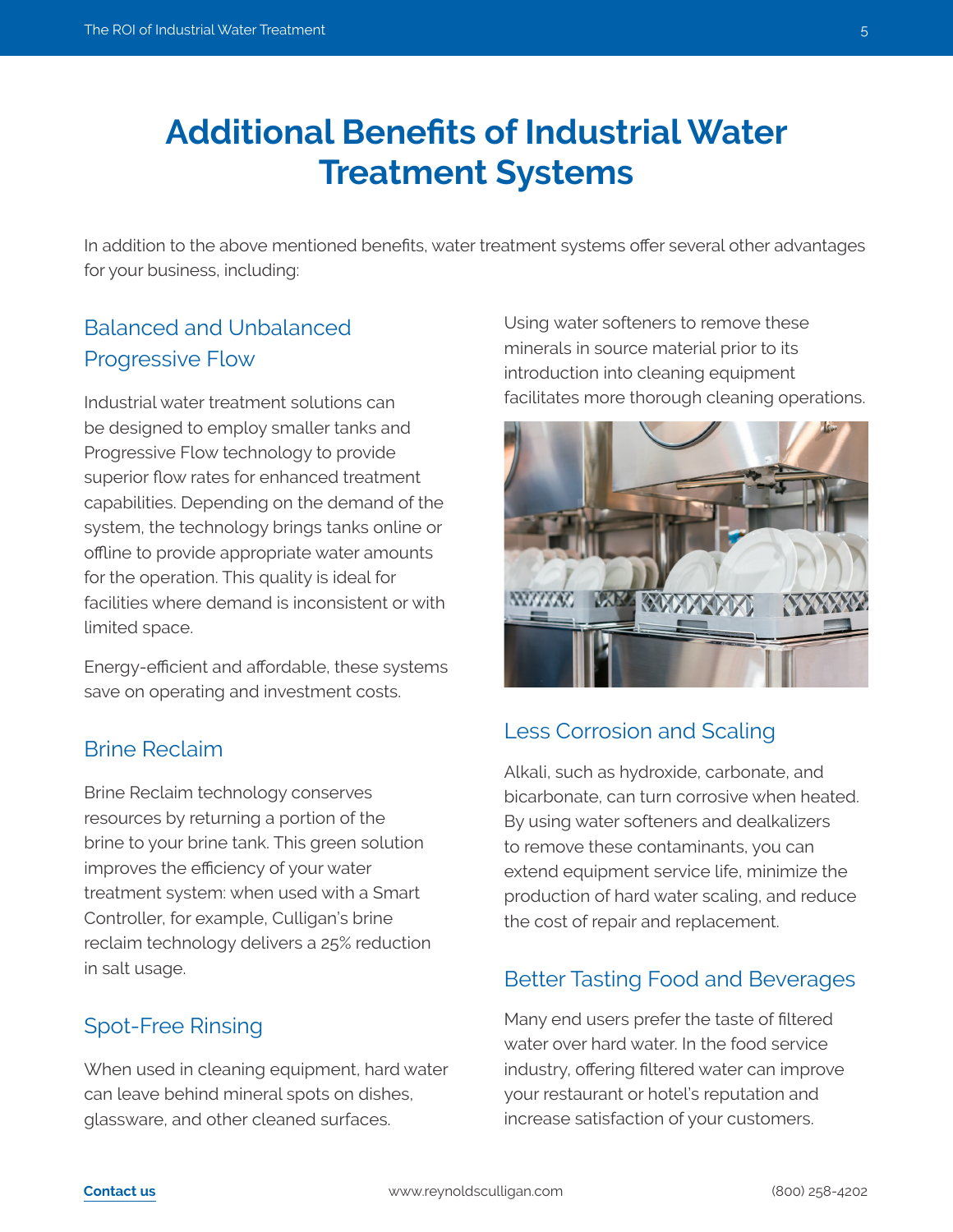## **Additional Benefits of Industrial Water Treatment Systems**

In addition to the above mentioned benefits, water treatment systems offer several other advantages for your business, including:

## Balanced and Unbalanced Progressive Flow

Industrial water treatment solutions can be designed to employ smaller tanks and Progressive Flow technology to provide superior flow rates for enhanced treatment capabilities. Depending on the demand of the system, the technology brings tanks online or offline to provide appropriate water amounts for the operation. This quality is ideal for facilities where demand is inconsistent or with limited space.

Energy-efficient and affordable, these systems save on operating and investment costs.

### Brine Reclaim

Brine Reclaim technology conserves resources by returning a portion of the brine to your brine tank. This green solution improves the efficiency of your water treatment system: when used with a Smart Controller, for example, Culligan's brine reclaim technology delivers a 25% reduction in salt usage.

### Spot-Free Rinsing

When used in cleaning equipment, hard water can leave behind mineral spots on dishes, glassware, and other cleaned surfaces.

Using water softeners to remove these minerals in source material prior to its introduction into cleaning equipment facilitates more thorough cleaning operations.



### Less Corrosion and Scaling

Alkali, such as hydroxide, carbonate, and bicarbonate, can turn corrosive when heated. By using water softeners and dealkalizers to remove these contaminants, you can extend equipment service life, minimize the production of hard water scaling, and reduce the cost of repair and replacement.

#### Better Tasting Food and Beverages

Many end users prefer the taste of filtered water over hard water. In the food service industry, offering filtered water can improve your restaurant or hotel's reputation and increase satisfaction of your customers.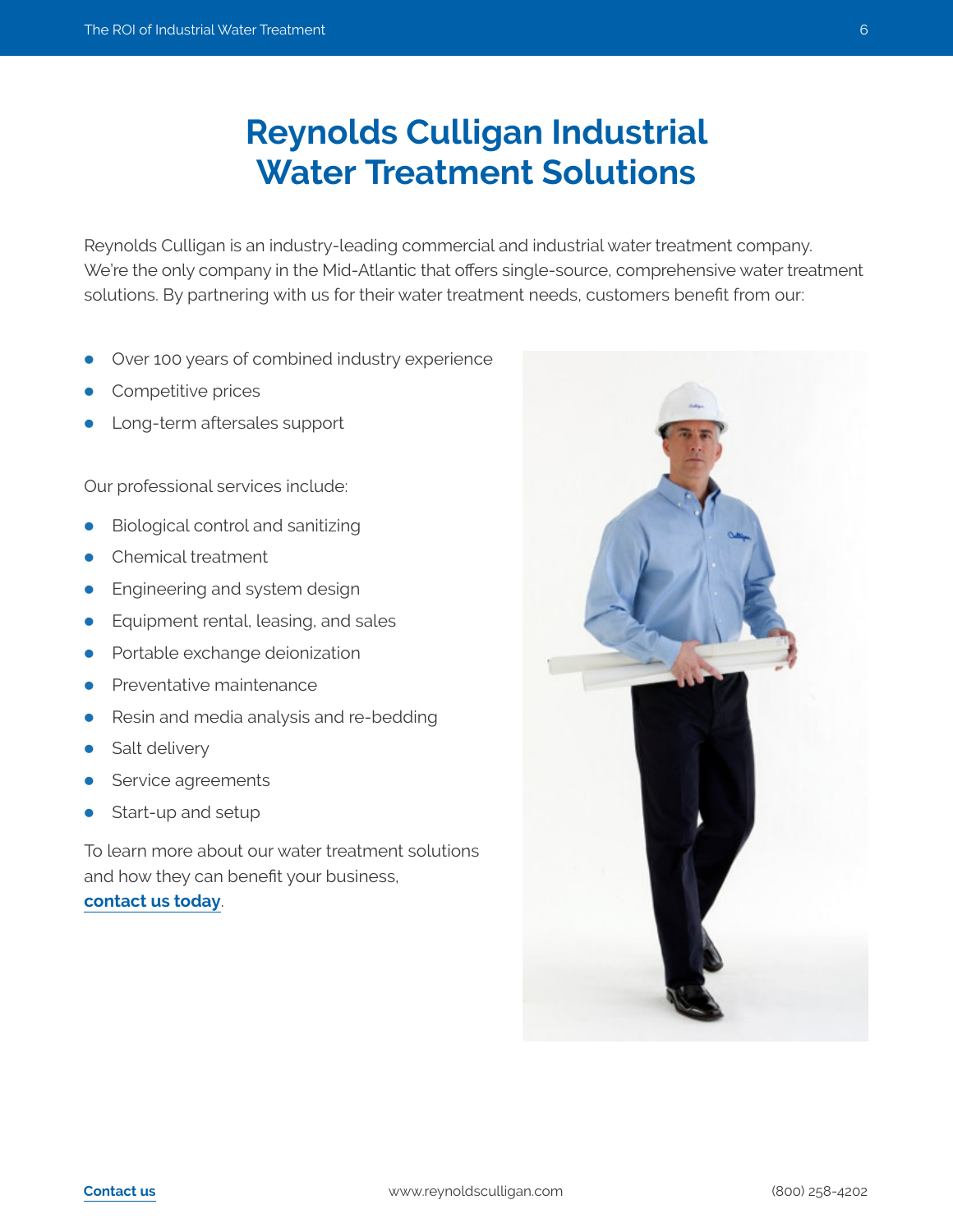## **Reynolds Culligan Industrial Water Treatment Solutions**

Reynolds Culligan is an industry-leading commercial and industrial water treatment company. We're the only company in the Mid-Atlantic that offers single-source, comprehensive water treatment solutions. By partnering with us for their water treatment needs, customers benefit from our:

- Over 100 years of combined industry experience
- Competitive prices
- Long-term aftersales support

Our professional services include:

- Biological control and sanitizing
- Chemical treatment
- Engineering and system design
- Equipment rental, leasing, and sales
- Portable exchange deionization
- Preventative maintenance
- Resin and media analysis and re-bedding
- Salt delivery
- Service agreements
- Start-up and setup

To learn more about our water treatment solutions and how they can benefit your business, **[contact us today](https://www.reynoldsculligan.com/culligan-contact/)**.